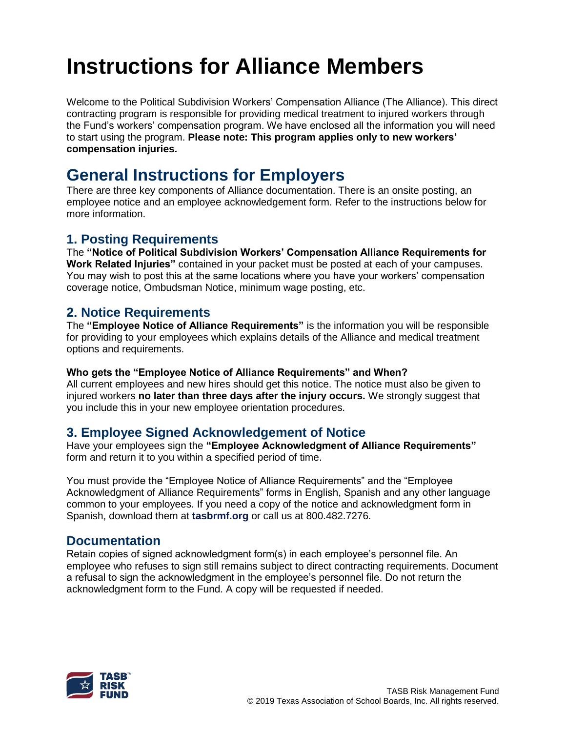# **Instructions for Alliance Members**

Welcome to the Political Subdivision Workers' Compensation Alliance (The Alliance). This direct contracting program is responsible for providing medical treatment to injured workers through the Fund's workers' compensation program. We have enclosed all the information you will need to start using the program. **Please note: This program applies only to new workers' compensation injuries.** 

## **General Instructions for Employers**

There are three key components of Alliance documentation. There is an onsite posting, an employee notice and an employee acknowledgement form. Refer to the instructions below for more information.

#### **1. Posting Requirements**

The **"Notice of Political Subdivision Workers' Compensation Alliance Requirements for Work Related Injuries"** contained in your packet must be posted at each of your campuses. You may wish to post this at the same locations where you have your workers' compensation coverage notice, Ombudsman Notice, minimum wage posting, etc.

#### **2. Notice Requirements**

The **"Employee Notice of Alliance Requirements"** is the information you will be responsible for providing to your employees which explains details of the Alliance and medical treatment options and requirements.

#### **Who gets the "Employee Notice of Alliance Requirements" and When?**

All current employees and new hires should get this notice. The notice must also be given to injured workers **no later than three days after the injury occurs.** We strongly suggest that you include this in your new employee orientation procedures.

#### **3. Employee Signed Acknowledgement of Notice**

Have your employees sign the **"Employee Acknowledgment of Alliance Requirements"**  form and return it to you within a specified period of time.

You must provide the "Employee Notice of Alliance Requirements" and the "Employee Acknowledgment of Alliance Requirements" forms in English, Spanish and any other language common to your employees. If you need a copy of the notice and acknowledgment form in Spanish, download them at **[tasbrmf.org](http://www.tasbrmf.org/)** or call us at 800.482.7276.

#### **Documentation**

Retain copies of signed acknowledgment form(s) in each employee's personnel file. An employee who refuses to sign still remains subject to direct contracting requirements. Document a refusal to sign the acknowledgment in the employee's personnel file. Do not return the acknowledgment form to the Fund. A copy will be requested if needed.